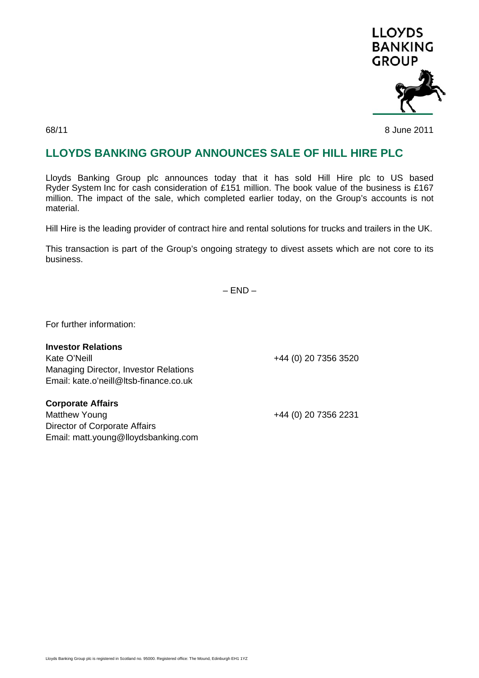

68/11 8 June 2011

## **LLOYDS BANKING GROUP ANNOUNCES SALE OF HILL HIRE PLC**

Lloyds Banking Group plc announces today that it has sold Hill Hire plc to US based Ryder System Inc for cash consideration of £151 million. The book value of the business is £167 million. The impact of the sale, which completed earlier today, on the Group's accounts is not material.

Hill Hire is the leading provider of contract hire and rental solutions for trucks and trailers in the UK.

This transaction is part of the Group's ongoing strategy to divest assets which are not core to its business.

 $-$  END  $-$ 

For further information:

| <b>Investor Relations</b>                    |                      |
|----------------------------------------------|----------------------|
| Kate O'Neill                                 | +44 (0) 20 7356 3520 |
| <b>Managing Director, Investor Relations</b> |                      |
| Email: kate.o'neill@ltsb-finance.co.uk       |                      |
|                                              |                      |
| <b>Corporate Affairs</b>                     |                      |
| <b>Matthew Young</b>                         | +44 (0) 20 7356 2231 |
| Director of Corporate Affairs                |                      |